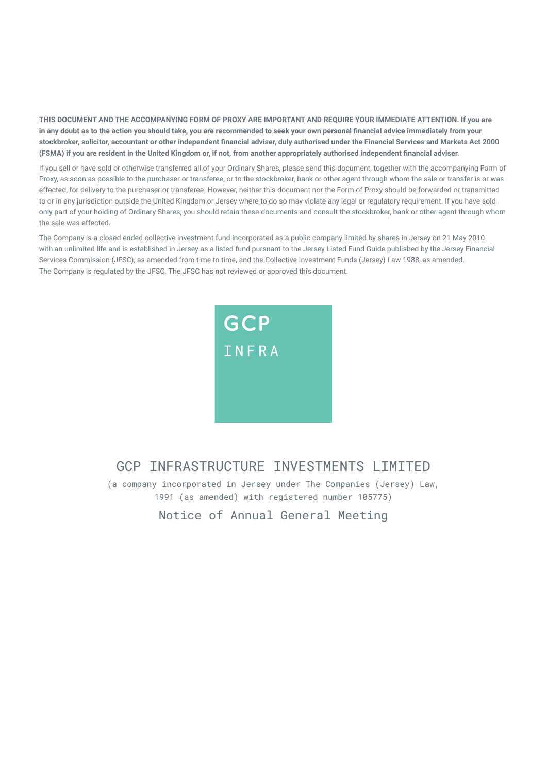**THIS DOCUMENT AND THE ACCOMPANYING FORM OF PROXY ARE IMPORTANT AND REQUIRE YOUR IMMEDIATE ATTENTION. If you are in any doubt as to the action you should take, you are recommended to seek your own personal financial advice immediately from your stockbroker, solicitor, accountant or other independent financial adviser, duly authorised under the Financial Services and Markets Act 2000 (FSMA) if you are resident in the United Kingdom or, if not, from another appropriately authorised independent financial adviser.**

If you sell or have sold or otherwise transferred all of your Ordinary Shares, please send this document, together with the accompanying Form of Proxy, as soon as possible to the purchaser or transferee, or to the stockbroker, bank or other agent through whom the sale or transfer is or was effected, for delivery to the purchaser or transferee. However, neither this document nor the Form of Proxy should be forwarded or transmitted to or in any jurisdiction outside the United Kingdom or Jersey where to do so may violate any legal or regulatory requirement. If you have sold only part of your holding of Ordinary Shares, you should retain these documents and consult the stockbroker, bank or other agent through whom the sale was effected.

The Company is a closed ended collective investment fund incorporated as a public company limited by shares in Jersey on 21 May 2010 with an unlimited life and is established in Jersey as a listed fund pursuant to the Jersey Listed Fund Guide published by the Jersey Financial Services Commission (JFSC), as amended from time to time, and the Collective Investment Funds (Jersey) Law 1988, as amended. The Company is regulated by the JFSC. The JFSC has not reviewed or approved this document.



# GCP INFRASTRUCTURE INVESTMENTS LIMITED

(a company incorporated in Jersey under The Companies (Jersey) Law, 1991 (as amended) with registered number 105775)

Notice of Annual General Meeting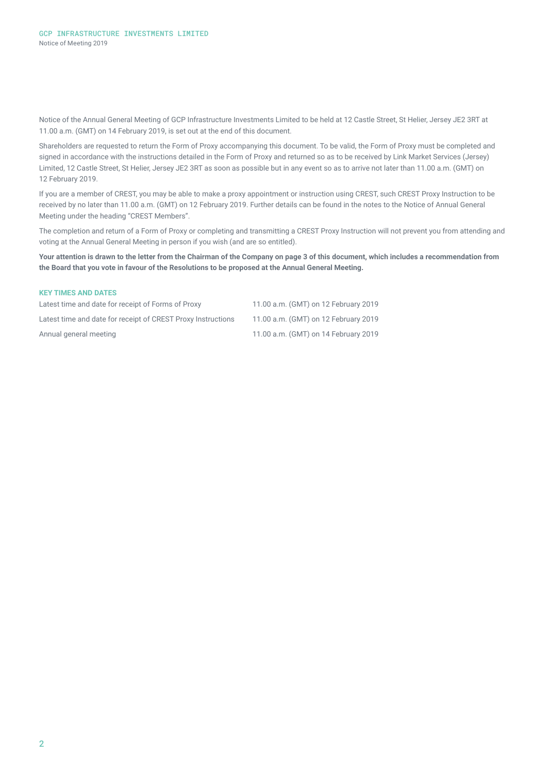Notice of the Annual General Meeting of GCP Infrastructure Investments Limited to be held at 12 Castle Street, St Helier, Jersey JE2 3RT at 11.00 a.m. (GMT) on 14 February 2019, is set out at the end of this document.

Shareholders are requested to return the Form of Proxy accompanying this document. To be valid, the Form of Proxy must be completed and signed in accordance with the instructions detailed in the Form of Proxy and returned so as to be received by Link Market Services (Jersey) Limited, 12 Castle Street, St Helier, Jersey JE2 3RT as soon as possible but in any event so as to arrive not later than 11.00 a.m. (GMT) on 12 February 2019.

If you are a member of CREST, you may be able to make a proxy appointment or instruction using CREST, such CREST Proxy Instruction to be received by no later than 11.00 a.m. (GMT) on 12 February 2019. Further details can be found in the notes to the Notice of Annual General Meeting under the heading "CREST Members".

The completion and return of a Form of Proxy or completing and transmitting a CREST Proxy Instruction will not prevent you from attending and voting at the Annual General Meeting in person if you wish (and are so entitled).

**Your attention is drawn to the letter from the Chairman of the Company on page 3 of this document, which includes a recommendation from the Board that you vote in favour of the Resolutions to be proposed at the Annual General Meeting.** 

| <b>KEY TIMES AND DATES</b>                                   |                                      |
|--------------------------------------------------------------|--------------------------------------|
| Latest time and date for receipt of Forms of Proxy           | 11.00 a.m. (GMT) on 12 February 2019 |
| Latest time and date for receipt of CREST Proxy Instructions | 11.00 a.m. (GMT) on 12 February 2019 |
| Annual general meeting                                       | 11.00 a.m. (GMT) on 14 February 2019 |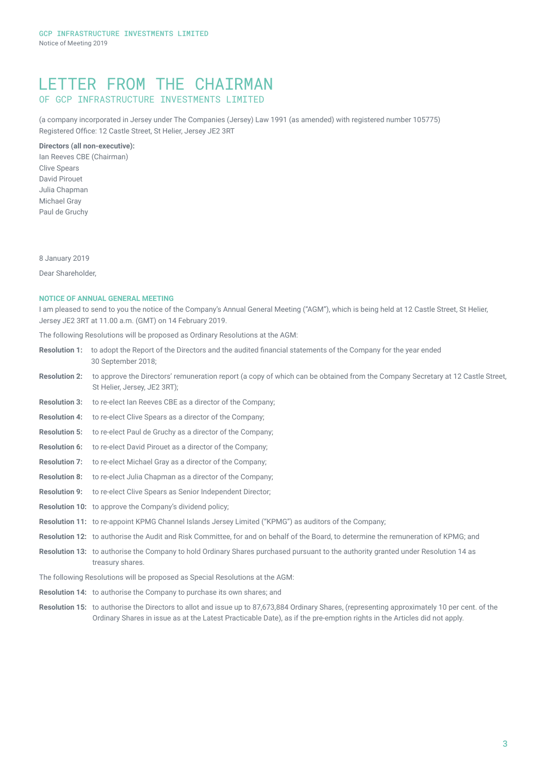# LETTER FROM THE CHAIRMAN OF GCP INFRASTRUCTURE INVESTMENTS LIMITED

(a company incorporated in Jersey under The Companies (Jersey) Law 1991 (as amended) with registered number 105775) Registered Office: 12 Castle Street, St Helier, Jersey JE2 3RT

## **Directors (all non-executive):**

Ian Reeves CBE (Chairman) Clive Spears David Pirouet Julia Chapman Michael Gray Paul de Gruchy

8 January 2019

Dear Shareholder,

## **NOTICE OF ANNUAL GENERAL MEETING**

I am pleased to send to you the notice of the Company's Annual General Meeting ("AGM"), which is being held at 12 Castle Street, St Helier, Jersey JE2 3RT at 11.00 a.m. (GMT) on 14 February 2019.

The following Resolutions will be proposed as Ordinary Resolutions at the AGM:

- **Resolution 1:** to adopt the Report of the Directors and the audited financial statements of the Company for the year ended 30 September 2018;
- **Resolution 2:** to approve the Directors' remuneration report (a copy of which can be obtained from the Company Secretary at 12 Castle Street, St Helier, Jersey, JE2 3RT);
- **Resolution 3:** to re-elect Ian Reeves CBE as a director of the Company;
- **Resolution 4:** to re-elect Clive Spears as a director of the Company;
- **Resolution 5:** to re-elect Paul de Gruchy as a director of the Company;
- **Resolution 6:** to re-elect David Pirouet as a director of the Company;
- **Resolution 7:** to re-elect Michael Gray as a director of the Company;
- **Resolution 8:** to re-elect Julia Chapman as a director of the Company;
- **Resolution 9:** to re-elect Clive Spears as Senior Independent Director;
- **Resolution 10:** to approve the Company's dividend policy;
- **Resolution 11:** to re-appoint KPMG Channel Islands Jersey Limited ("KPMG") as auditors of the Company;
- **Resolution 12:** to authorise the Audit and Risk Committee, for and on behalf of the Board, to determine the remuneration of KPMG; and
- **Resolution 13:** to authorise the Company to hold Ordinary Shares purchased pursuant to the authority granted under Resolution 14 as treasury shares.
- The following Resolutions will be proposed as Special Resolutions at the AGM:
- **Resolution 14:** to authorise the Company to purchase its own shares; and
- **Resolution 15:** to authorise the Directors to allot and issue up to 87,673,884 Ordinary Shares, (representing approximately 10 per cent. of the Ordinary Shares in issue as at the Latest Practicable Date), as if the pre-emption rights in the Articles did not apply.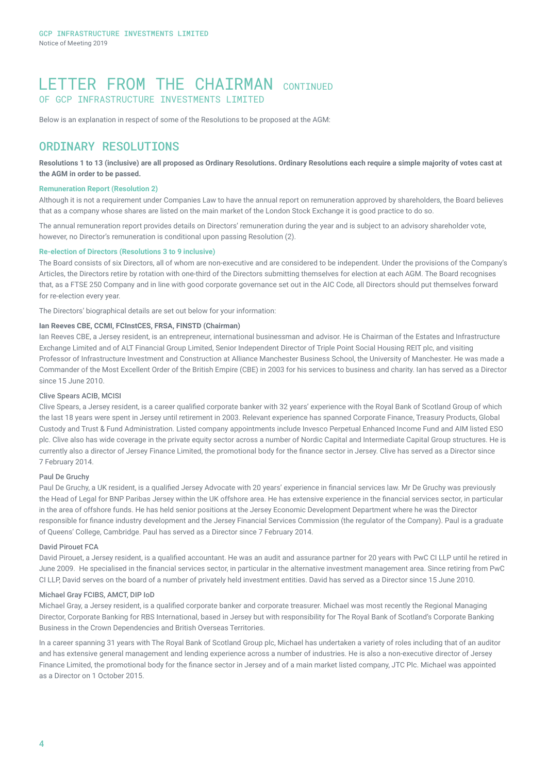# LETTER FROM THE CHATRMAN CONTINUED OF GCP INFRASTRUCTURE INVESTMENTS LIMITED

Below is an explanation in respect of some of the Resolutions to be proposed at the AGM:

# ORDINARY RESOLUTIONS

**Resolutions 1 to 13 (inclusive) are all proposed as Ordinary Resolutions. Ordinary Resolutions each require a simple majority of votes cast at the AGM in order to be passed.**

### **Remuneration Report (Resolution 2)**

Although it is not a requirement under Companies Law to have the annual report on remuneration approved by shareholders, the Board believes that as a company whose shares are listed on the main market of the London Stock Exchange it is good practice to do so.

The annual remuneration report provides details on Directors' remuneration during the year and is subject to an advisory shareholder vote, however, no Director's remuneration is conditional upon passing Resolution (2).

#### **Re-election of Directors (Resolutions 3 to 9 inclusive)**

The Board consists of six Directors, all of whom are non-executive and are considered to be independent. Under the provisions of the Company's Articles, the Directors retire by rotation with one-third of the Directors submitting themselves for election at each AGM. The Board recognises that, as a FTSE 250 Company and in line with good corporate governance set out in the AIC Code, all Directors should put themselves forward for re-election every year.

The Directors' biographical details are set out below for your information:

## **Ian Reeves CBE, CCMI, FCInstCES, FRSA, FINSTD (Chairman)**

Ian Reeves CBE, a Jersey resident, is an entrepreneur, international businessman and advisor. He is Chairman of the Estates and Infrastructure Exchange Limited and of ALT Financial Group Limited, Senior Independent Director of Triple Point Social Housing REIT plc, and visiting Professor of Infrastructure Investment and Construction at Alliance Manchester Business School, the University of Manchester. He was made a Commander of the Most Excellent Order of the British Empire (CBE) in 2003 for his services to business and charity. Ian has served as a Director since 15 June 2010.

#### Clive Spears ACIB, MCISI

Clive Spears, a Jersey resident, is a career qualified corporate banker with 32 years' experience with the Royal Bank of Scotland Group of which the last 18 years were spent in Jersey until retirement in 2003. Relevant experience has spanned Corporate Finance, Treasury Products, Global Custody and Trust & Fund Administration. Listed company appointments include Invesco Perpetual Enhanced Income Fund and AIM listed ESO plc. Clive also has wide coverage in the private equity sector across a number of Nordic Capital and Intermediate Capital Group structures. He is currently also a director of Jersey Finance Limited, the promotional body for the finance sector in Jersey. Clive has served as a Director since 7 February 2014.

## Paul De Gruchy

Paul De Gruchy, a UK resident, is a qualified Jersey Advocate with 20 years' experience in financial services law. Mr De Gruchy was previously the Head of Legal for BNP Paribas Jersey within the UK offshore area. He has extensive experience in the financial services sector, in particular in the area of offshore funds. He has held senior positions at the Jersey Economic Development Department where he was the Director responsible for finance industry development and the Jersey Financial Services Commission (the regulator of the Company). Paul is a graduate of Queens' College, Cambridge. Paul has served as a Director since 7 February 2014.

### David Pirouet FCA

David Pirouet, a Jersey resident, is a qualified accountant. He was an audit and assurance partner for 20 years with PwC CI LLP until he retired in June 2009. He specialised in the financial services sector, in particular in the alternative investment management area. Since retiring from PwC CI LLP, David serves on the board of a number of privately held investment entities. David has served as a Director since 15 June 2010.

#### Michael Gray FCIBS, AMCT, DIP IoD

Michael Gray, a Jersey resident, is a qualified corporate banker and corporate treasurer. Michael was most recently the Regional Managing Director, Corporate Banking for RBS International, based in Jersey but with responsibility for The Royal Bank of Scotland's Corporate Banking Business in the Crown Dependencies and British Overseas Territories.

In a career spanning 31 years with The Royal Bank of Scotland Group plc, Michael has undertaken a variety of roles including that of an auditor and has extensive general management and lending experience across a number of industries. He is also a non-executive director of Jersey Finance Limited, the promotional body for the finance sector in Jersey and of a main market listed company, JTC Plc. Michael was appointed as a Director on 1 October 2015.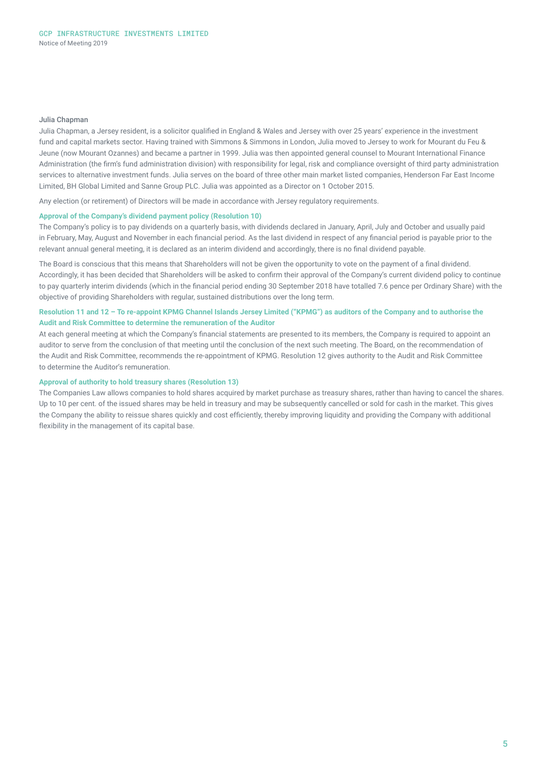#### Julia Chapman

Julia Chapman, a Jersey resident, is a solicitor qualified in England & Wales and Jersey with over 25 years' experience in the investment fund and capital markets sector. Having trained with Simmons & Simmons in London, Julia moved to Jersey to work for Mourant du Feu & Jeune (now Mourant Ozannes) and became a partner in 1999. Julia was then appointed general counsel to Mourant International Finance Administration (the firm's fund administration division) with responsibility for legal, risk and compliance oversight of third party administration services to alternative investment funds. Julia serves on the board of three other main market listed companies, Henderson Far East Income Limited, BH Global Limited and Sanne Group PLC. Julia was appointed as a Director on 1 October 2015.

Any election (or retirement) of Directors will be made in accordance with Jersey regulatory requirements.

### **Approval of the Company's dividend payment policy (Resolution 10)**

The Company's policy is to pay dividends on a quarterly basis, with dividends declared in January, April, July and October and usually paid in February, May, August and November in each financial period. As the last dividend in respect of any financial period is payable prior to the relevant annual general meeting, it is declared as an interim dividend and accordingly, there is no final dividend payable.

The Board is conscious that this means that Shareholders will not be given the opportunity to vote on the payment of a final dividend. Accordingly, it has been decided that Shareholders will be asked to confirm their approval of the Company's current dividend policy to continue to pay quarterly interim dividends (which in the financial period ending 30 September 2018 have totalled 7.6 pence per Ordinary Share) with the objective of providing Shareholders with regular, sustained distributions over the long term.

## **Resolution 11 and 12 – To re-appoint KPMG Channel Islands Jersey Limited ("KPMG") as auditors of the Company and to authorise the Audit and Risk Committee to determine the remuneration of the Auditor**

At each general meeting at which the Company's financial statements are presented to its members, the Company is required to appoint an auditor to serve from the conclusion of that meeting until the conclusion of the next such meeting. The Board, on the recommendation of the Audit and Risk Committee, recommends the re‑appointment of KPMG. Resolution 12 gives authority to the Audit and Risk Committee to determine the Auditor's remuneration.

### **Approval of authority to hold treasury shares (Resolution 13)**

The Companies Law allows companies to hold shares acquired by market purchase as treasury shares, rather than having to cancel the shares. Up to 10 per cent. of the issued shares may be held in treasury and may be subsequently cancelled or sold for cash in the market. This gives the Company the ability to reissue shares quickly and cost efficiently, thereby improving liquidity and providing the Company with additional flexibility in the management of its capital base.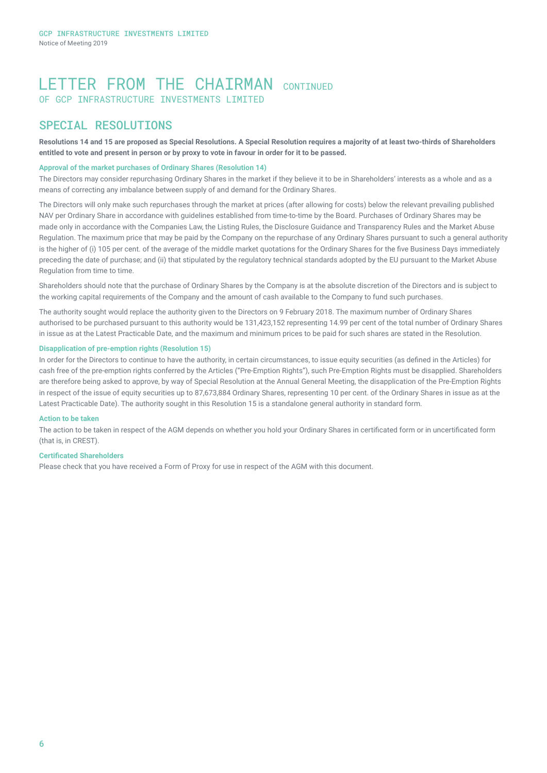# LETTER FROM THE CHATRMAN CONTINUED OF GCP INFRASTRUCTURE INVESTMENTS LIMITED

# SPECIAL RESOLUTIONS

**Resolutions 14 and 15 are proposed as Special Resolutions. A Special Resolution requires a majority of at least two-thirds of Shareholders entitled to vote and present in person or by proxy to vote in favour in order for it to be passed.** 

## **Approval of the market purchases of Ordinary Shares (Resolution 14)**

The Directors may consider repurchasing Ordinary Shares in the market if they believe it to be in Shareholders' interests as a whole and as a means of correcting any imbalance between supply of and demand for the Ordinary Shares.

The Directors will only make such repurchases through the market at prices (after allowing for costs) below the relevant prevailing published NAV per Ordinary Share in accordance with guidelines established from time-to-time by the Board. Purchases of Ordinary Shares may be made only in accordance with the Companies Law, the Listing Rules, the Disclosure Guidance and Transparency Rules and the Market Abuse Regulation. The maximum price that may be paid by the Company on the repurchase of any Ordinary Shares pursuant to such a general authority is the higher of (i) 105 per cent, of the average of the middle market quotations for the Ordinary Shares for the five Business Days immediately preceding the date of purchase; and (ii) that stipulated by the regulatory technical standards adopted by the EU pursuant to the Market Abuse Regulation from time to time.

Shareholders should note that the purchase of Ordinary Shares by the Company is at the absolute discretion of the Directors and is subject to the working capital requirements of the Company and the amount of cash available to the Company to fund such purchases.

The authority sought would replace the authority given to the Directors on 9 February 2018. The maximum number of Ordinary Shares authorised to be purchased pursuant to this authority would be 131,423,152 representing 14.99 per cent of the total number of Ordinary Shares in issue as at the Latest Practicable Date, and the maximum and minimum prices to be paid for such shares are stated in the Resolution.

## **Disapplication of pre-emption rights (Resolution 15)**

In order for the Directors to continue to have the authority, in certain circumstances, to issue equity securities (as defined in the Articles) for cash free of the pre-emption rights conferred by the Articles ("Pre-Emption Rights"), such Pre-Emption Rights must be disapplied. Shareholders are therefore being asked to approve, by way of Special Resolution at the Annual General Meeting, the disapplication of the Pre-Emption Rights in respect of the issue of equity securities up to 87,673,884 Ordinary Shares, representing 10 per cent. of the Ordinary Shares in issue as at the Latest Practicable Date). The authority sought in this Resolution 15 is a standalone general authority in standard form.

### **Action to be taken**

The action to be taken in respect of the AGM depends on whether you hold your Ordinary Shares in certificated form or in uncertificated form (that is, in CREST).

#### **Certificated Shareholders**

Please check that you have received a Form of Proxy for use in respect of the AGM with this document.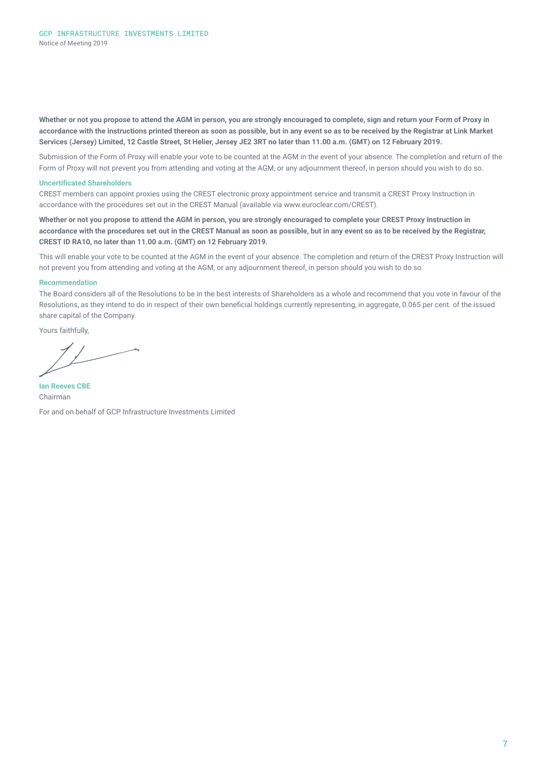**Whether or not you propose to attend the AGM in person, you are strongly encouraged to complete, sign and return your Form of Proxy in accordance with the instructions printed thereon as soon as possible, but in any event so as to be received by the Registrar at Link Market Services (Jersey) Limited, 12 Castle Street, St Helier, Jersey JE2 3RT no later than 11.00 a.m. (GMT) on 12 February 2019.**

Submission of the Form of Proxy will enable your vote to be counted at the AGM in the event of your absence. The completion and return of the Form of Proxy will not prevent you from attending and voting at the AGM, or any adjournment thereof, in person should you wish to do so.

#### **Uncertificated Shareholders**

CREST members can appoint proxies using the CREST electronic proxy appointment service and transmit a CREST Proxy Instruction in accordance with the procedures set out in the CREST Manual (available via www.euroclear.com/CREST).

**Whether or not you propose to attend the AGM in person, you are strongly encouraged to complete your CREST Proxy Instruction in accordance with the procedures set out in the CREST Manual as soon as possible, but in any event so as to be received by the Registrar, CREST ID RA10, no later than 11.00 a.m. (GMT) on 12 February 2019.**

This will enable your vote to be counted at the AGM in the event of your absence. The completion and return of the CREST Proxy Instruction will not prevent you from attending and voting at the AGM, or any adjournment thereof, in person should you wish to do so.

#### **Recommendation**

The Board considers all of the Resolutions to be in the best interests of Shareholders as a whole and recommend that you vote in favour of the Resolutions, as they intend to do in respect of their own beneficial holdings currently representing, in aggregate, 0.065 per cent. of the issued share capital of the Company.

Yours faithfully,

**Ian Reeves CBE**  Chairman For and on behalf of GCP Infrastructure Investments Limited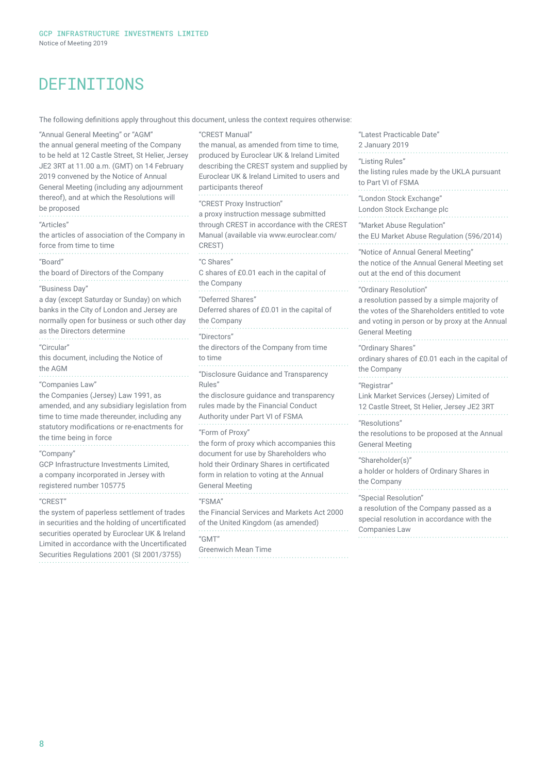# DEFINITIONS

The following definitions apply throughout this document, unless the context requires otherwise:

"Annual General Meeting" or "AGM" the annual general meeting of the Company to be held at 12 Castle Street, St Helier, Jersey JE2 3RT at 11.00 a.m. (GMT) on 14 February 2019 convened by the Notice of Annual General Meeting (including any adjournment thereof), and at which the Resolutions will be proposed "Articles" the articles of association of the Company in force from time to time "Board" the board of Directors of the Company "Business Day" a day (except Saturday or Sunday) on which banks in the City of London and Jersey are normally open for business or such other day as the Directors determine "Circular" this document, including the Notice of the AGM "Companies Law" the Companies (Jersey) Law 1991, as amended, and any subsidiary legislation from time to time made thereunder, including any statutory modifications or re-enactments for the time being in force "Company" GCP Infrastructure Investments Limited, a company incorporated in Jersey with registered number 105775 "CREST" the system of paperless settlement of trades in securities and the holding of uncertificated securities operated by Euroclear UK & Ireland Limited in accordance with the Uncertificated Securities Regulations 2001 (SI 2001/3755) "CREST Manual" the manual, as amended from time to time, produced by Euroclear UK & Ireland Limited describing the CREST system and supplied by Euroclear UK & Ireland Limited to users and participants thereof "CREST Proxy Instruction" a proxy instruction message submitted through CREST in accordance with the CREST Manual (available via www.euroclear.com/ CREST) "C Shares" C shares of £0.01 each in the capital of the Company "Deferred Shares" Deferred shares of £0.01 in the capital of the Company "Directors" the directors of the Company from time to time "Disclosure Guidance and Transparency Rules" the disclosure guidance and transparency rules made by the Financial Conduct Authority under Part VI of FSMA "Form of Proxy" the form of proxy which accompanies this document for use by Shareholders who hold their Ordinary Shares in certificated form in relation to voting at the Annual General Meeting "FSMA" the Financial Services and Markets Act 2000 of the United Kingdom (as amended) "GMT" Greenwich Mean Time

"Latest Practicable Date" 2 January 2019 "Listing Rules" the listing rules made by the UKLA pursuant to Part VI of FSMA "London Stock Exchange" London Stock Exchange plc "Market Abuse Regulation" the EU Market Abuse Regulation (596/2014) "Notice of Annual General Meeting" the notice of the Annual General Meeting set out at the end of this document "Ordinary Resolution" a resolution passed by a simple majority of the votes of the Shareholders entitled to vote and voting in person or by proxy at the Annual General Meeting "Ordinary Shares" ordinary shares of £0.01 each in the capital of the Company "Registrar" Link Market Services (Jersey) Limited of 12 Castle Street, St Helier, Jersey JE2 3RT "Resolutions" the resolutions to be proposed at the Annual General Meeting "Shareholder(s)" a holder or holders of Ordinary Shares in the Company "Special Resolution" a resolution of the Company passed as a special resolution in accordance with the Companies Law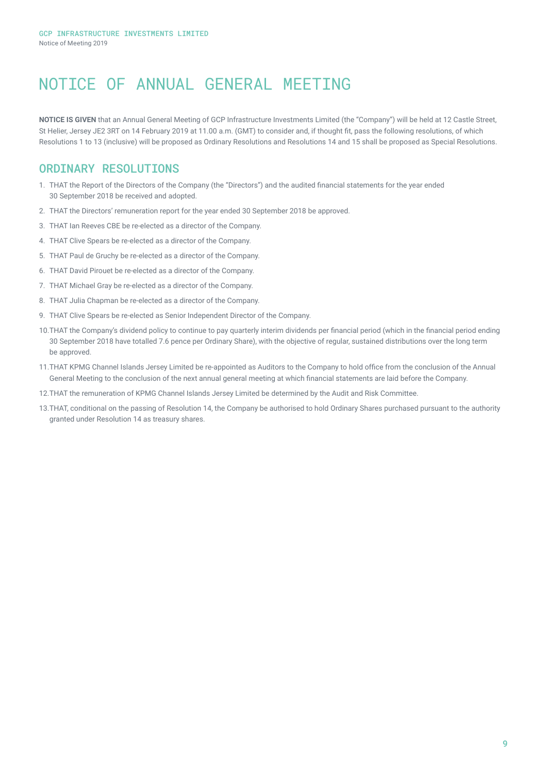# NOTICE OF ANNUAL GENERAL MEETING

**NOTICE IS GIVEN** that an Annual General Meeting of GCP Infrastructure Investments Limited (the "Company") will be held at 12 Castle Street, St Helier, Jersey JE2 3RT on 14 February 2019 at 11.00 a.m. (GMT) to consider and, if thought fit, pass the following resolutions, of which Resolutions 1 to 13 (inclusive) will be proposed as Ordinary Resolutions and Resolutions 14 and 15 shall be proposed as Special Resolutions.

# ORDINARY RESOLUTIONS

- 1. THAT the Report of the Directors of the Company (the "Directors") and the audited financial statements for the year ended 30 September 2018 be received and adopted.
- 2. THAT the Directors' remuneration report for the year ended 30 September 2018 be approved.
- 3. THAT Ian Reeves CBE be re-elected as a director of the Company.
- 4. THAT Clive Spears be re-elected as a director of the Company.
- 5. THAT Paul de Gruchy be re-elected as a director of the Company.
- 6. THAT David Pirouet be re-elected as a director of the Company.
- 7. THAT Michael Gray be re-elected as a director of the Company.
- 8. THAT Julia Chapman be re-elected as a director of the Company.
- 9. THAT Clive Spears be re-elected as Senior Independent Director of the Company.
- 10.THAT the Company's dividend policy to continue to pay quarterly interim dividends per financial period (which in the financial period ending 30 September 2018 have totalled 7.6 pence per Ordinary Share), with the objective of regular, sustained distributions over the long term be approved.
- 11.THAT KPMG Channel Islands Jersey Limited be re-appointed as Auditors to the Company to hold office from the conclusion of the Annual General Meeting to the conclusion of the next annual general meeting at which financial statements are laid before the Company.
- 12.THAT the remuneration of KPMG Channel Islands Jersey Limited be determined by the Audit and Risk Committee.
- 13.THAT, conditional on the passing of Resolution 14, the Company be authorised to hold Ordinary Shares purchased pursuant to the authority granted under Resolution 14 as treasury shares.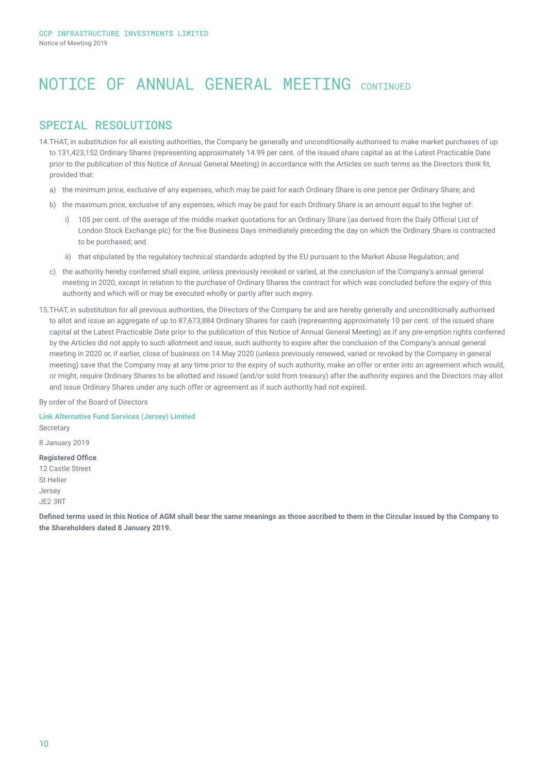# NOTICE OF ANNUAL GENERAL MEETING CONTINUED

# SPECIAL RESOLUTIONS

- 14.THAT, in substitution for all existing authorities, the Company be generally and unconditionally authorised to make market purchases of up to 131,423,152 Ordinary Shares (representing approximately 14.99 per cent. of the issued share capital as at the Latest Practicable Date prior to the publication of this Notice of Annual General Meeting) in accordance with the Articles on such terms as the Directors think fit, provided that:
	- a) the minimum price, exclusive of any expenses, which may be paid for each Ordinary Share is one pence per Ordinary Share; and
	- b) the maximum price, exclusive of any expenses, which may be paid for each Ordinary Share is an amount equal to the higher of:
		- i) 105 per cent. of the average of the middle market quotations for an Ordinary Share (as derived from the Daily Official List of London Stock Exchange plc) for the five Business Days immediately preceding the day on which the Ordinary Share is contracted to be purchased; and
		- ii) that stipulated by the regulatory technical standards adopted by the EU pursuant to the Market Abuse Regulation; and
	- c) the authority hereby conferred shall expire, unless previously revoked or varied, at the conclusion of the Company's annual general meeting in 2020, except in relation to the purchase of Ordinary Shares the contract for which was concluded before the expiry of this authority and which will or may be executed wholly or partly after such expiry.
- 15.THAT, in substitution for all previous authorities, the Directors of the Company be and are hereby generally and unconditionally authorised to allot and issue an aggregate of up to 87,673,884 Ordinary Shares for cash (representing approximately 10 per cent. of the issued share capital at the Latest Practicable Date prior to the publication of this Notice of Annual General Meeting) as if any pre-emption rights conferred by the Articles did not apply to such allotment and issue, such authority to expire after the conclusion of the Company's annual general meeting in 2020 or, if earlier, close of business on 14 May 2020 (unless previously renewed, varied or revoked by the Company in general meeting) save that the Company may at any time prior to the expiry of such authority, make an offer or enter into an agreement which would, or might, require Ordinary Shares to be allotted and issued (and/or sold from treasury) after the authority expires and the Directors may allot and issue Ordinary Shares under any such offer or agreement as if such authority had not expired.

By order of the Board of Directors

**Link Alternative Fund Services (Jersey) Limited Secretary** 

8 January 2019

## **Registered Office**

12 Castle Street St Helier Jersey JE2 3RT

**Defined terms used in this Notice of AGM shall bear the same meanings as those ascribed to them in the Circular issued by the Company to the Shareholders dated 8 January 2019.**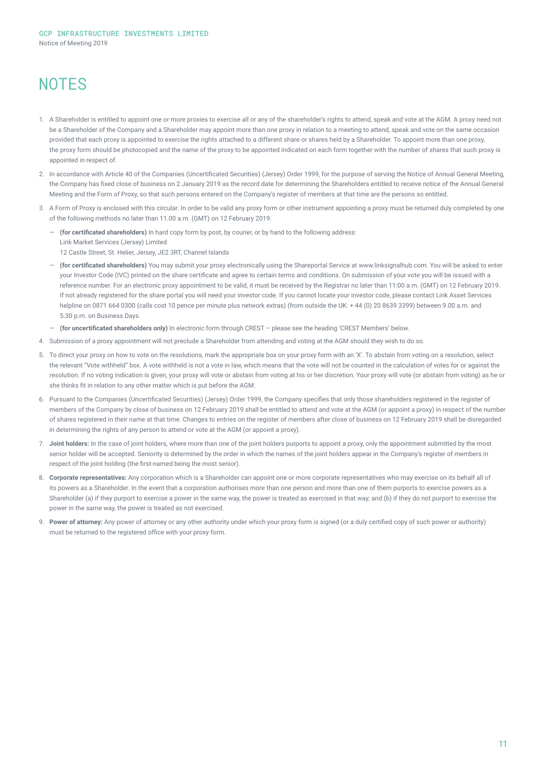# **NOTES**

- 1. A Shareholder is entitled to appoint one or more proxies to exercise all or any of the shareholder's rights to attend, speak and vote at the AGM. A proxy need not be a Shareholder of the Company and a Shareholder may appoint more than one proxy in relation to a meeting to attend, speak and vote on the same occasion provided that each proxy is appointed to exercise the rights attached to a different share or shares held by a Shareholder. To appoint more than one proxy, the proxy form should be photocopied and the name of the proxy to be appointed indicated on each form together with the number of shares that such proxy is appointed in respect of
- 2. In accordance with Article 40 of the Companies (Uncertificated Securities) (Jersey) Order 1999, for the purpose of serving the Notice of Annual General Meeting, the Company has fixed close of business on 2 January 2019 as the record date for determining the Shareholders entitled to receive notice of the Annual General Meeting and the Form of Proxy, so that such persons entered on the Company's register of members at that time are the persons so entitled.
- 3. A Form of Proxy is enclosed with this circular. In order to be valid any proxy form or other instrument appointing a proxy must be returned duly completed by one of the following methods no later than 11.00 a.m. (GMT) on 12 February 2019:
	- ― **(for certificated shareholders)** In hard copy form by post, by courier, or by hand to the following address: Link Market Services (Jersey) Limited 12 Castle Street, St. Helier, Jersey, JE2 3RT, Channel Islands
	- ― **(for certificated shareholders)** You may submit your proxy electronically using the Shareportal Service at www.linksignalhub.com. You will be asked to enter your Investor Code (IVC) printed on the share certificate and agree to certain terms and conditions. On submission of your vote you will be issued with a reference number. For an electronic proxy appointment to be valid, it must be received by the Registrar no later than 11:00 a.m. (GMT) on 12 February 2019. If not already registered for the share portal you will need your investor code. If you cannot locate your investor code, please contact Link Asset Services helpline on 0871 664 0300 (calls cost 10 pence per minute plus network extras) (from outside the UK: + 44 (0) 20 8639 3399) between 9.00 a.m. and 5.30 p.m. on Business Days.
	- ― **(for uncertificated shareholders only)** In electronic form through CREST please see the heading 'CREST Members' below.
- 4. Submission of a proxy appointment will not preclude a Shareholder from attending and voting at the AGM should they wish to do so.
- 5. To direct your proxy on how to vote on the resolutions, mark the appropriate box on your proxy form with an 'X'. To abstain from voting on a resolution, select the relevant "Vote withheld" box. A vote withheld is not a vote in law, which means that the vote will not be counted in the calculation of votes for or against the resolution. If no voting indication is given, your proxy will vote or abstain from voting at his or her discretion. Your proxy will vote (or abstain from voting) as he or she thinks fit in relation to any other matter which is put before the AGM.
- 6. Pursuant to the Companies (Uncertificated Securities) (Jersey) Order 1999, the Company specifies that only those shareholders registered in the register of members of the Company by close of business on 12 February 2019 shall be entitled to attend and vote at the AGM (or appoint a proxy) in respect of the number of shares registered in their name at that time. Changes to entries on the register of members after close of business on 12 February 2019 shall be disregarded in determining the rights of any person to attend or vote at the AGM (or appoint a proxy).
- 7. **Joint holders:** In the case of joint holders, where more than one of the joint holders purports to appoint a proxy, only the appointment submitted by the most senior holder will be accepted. Seniority is determined by the order in which the names of the joint holders appear in the Company's register of members in respect of the joint holding (the first-named being the most senior).
- 8. **Corporate representatives:** Any corporation which is a Shareholder can appoint one or more corporate representatives who may exercise on its behalf all of its powers as a Shareholder. In the event that a corporation authorises more than one person and more than one of them purports to exercise powers as a Shareholder (a) if they purport to exercise a power in the same way, the power is treated as exercised in that way; and (b) if they do not purport to exercise the power in the same way, the power is treated as not exercised.
- 9. **Power of attorney:** Any power of attorney or any other authority under which your proxy form is signed (or a duly certified copy of such power or authority) must be returned to the registered office with your proxy form.